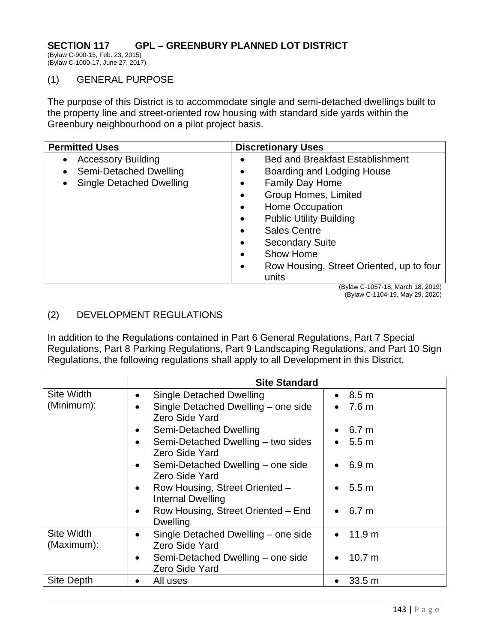## **SECTION 117 GPL – GREENBURY PLANNED LOT DISTRICT**

(Bylaw C-900-15, Feb. 23, 2015) (Bylaw C-1000-17, June 27, 2017)

## (1) GENERAL PURPOSE

The purpose of this District is to accommodate single and semi-detached dwellings built to the property line and street-oriented row housing with standard side yards within the Greenbury neighbourhood on a pilot project basis.

| <b>Permitted Uses</b>                                                                                                         | <b>Discretionary Uses</b>                                                                                                                                                                                                                                                                                                                                                                                                                      |  |
|-------------------------------------------------------------------------------------------------------------------------------|------------------------------------------------------------------------------------------------------------------------------------------------------------------------------------------------------------------------------------------------------------------------------------------------------------------------------------------------------------------------------------------------------------------------------------------------|--|
| <b>Accessory Building</b><br>$\bullet$<br>Semi-Detached Dwelling<br>$\bullet$<br><b>Single Detached Dwelling</b><br>$\bullet$ | <b>Bed and Breakfast Establishment</b><br>$\bullet$<br>Boarding and Lodging House<br>$\bullet$<br><b>Family Day Home</b><br>$\bullet$<br><b>Group Homes, Limited</b><br>$\bullet$<br><b>Home Occupation</b><br>$\bullet$<br><b>Public Utility Building</b><br>$\bullet$<br><b>Sales Centre</b><br>$\bullet$<br><b>Secondary Suite</b><br>$\bullet$<br>Show Home<br>$\bullet$<br>Row Housing, Street Oriented, up to four<br>$\bullet$<br>units |  |
|                                                                                                                               | $(Dy)$ $(Dy)$ $(Dy)$ $(Dz)$ $(Dz)$ $(Dz)$ $(Dz)$ $(Dz)$ $(Dz)$                                                                                                                                                                                                                                                                                                                                                                                 |  |

(Bylaw C-1057-18, March 18, 2019) (Bylaw C-1104-19, May 29, 2020)

## (2) DEVELOPMENT REGULATIONS

In addition to the Regulations contained in Part 6 General Regulations, Part 7 Special Regulations, Part 8 Parking Regulations, Part 9 Landscaping Regulations, and Part 10 Sign Regulations, the following regulations shall apply to all Development in this District.

|                                 | <b>Site Standard</b>                                               |                                |  |
|---------------------------------|--------------------------------------------------------------------|--------------------------------|--|
| <b>Site Width</b>               | <b>Single Detached Dwelling</b><br>$\bullet$                       | $\bullet$ 8.5 m                |  |
| (Minimum):                      | Single Detached Dwelling - one side<br>$\bullet$<br>Zero Side Yard | 7.6 <sub>m</sub><br>$\bullet$  |  |
|                                 | Semi-Detached Dwelling                                             | 6.7 m                          |  |
|                                 | Semi-Detached Dwelling - two sides<br>$\bullet$<br>Zero Side Yard  | $\bullet$ 5.5 m                |  |
|                                 | Semi-Detached Dwelling - one side<br>$\bullet$<br>Zero Side Yard   | 6.9 m                          |  |
|                                 | Row Housing, Street Oriented -<br>$\bullet$<br>Internal Dwelling   | 5.5 m                          |  |
|                                 | Row Housing, Street Oriented - End<br>$\bullet$<br>Dwelling        | 6.7 m                          |  |
| <b>Site Width</b><br>(Maximum): | Single Detached Dwelling – one side<br>٠<br>Zero Side Yard         | 11.9 <sub>m</sub><br>$\bullet$ |  |
|                                 | Semi-Detached Dwelling – one side<br>$\bullet$<br>Zero Side Yard   | 10.7 m<br>$\bullet$            |  |
| Site Depth                      | All uses                                                           | 33.5 m<br>$\bullet$            |  |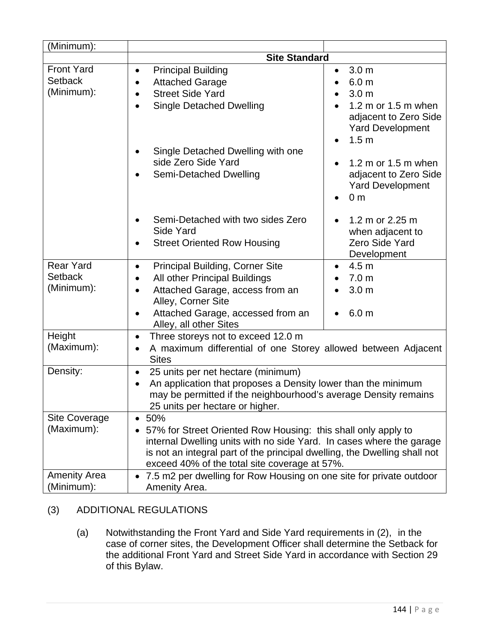| $\overline{\text{(Minimum)}}$ :                   |                                                                                                                                                                                                                                        |                                                                                                                                                                                   |  |
|---------------------------------------------------|----------------------------------------------------------------------------------------------------------------------------------------------------------------------------------------------------------------------------------------|-----------------------------------------------------------------------------------------------------------------------------------------------------------------------------------|--|
|                                                   | <b>Site Standard</b>                                                                                                                                                                                                                   |                                                                                                                                                                                   |  |
| <b>Front Yard</b><br><b>Setback</b><br>(Minimum): | <b>Principal Building</b><br>$\bullet$<br><b>Attached Garage</b><br>$\bullet$<br><b>Street Side Yard</b><br><b>Single Detached Dwelling</b><br>$\bullet$<br>Single Detached Dwelling with one                                          | 3.0 <sub>m</sub><br>$\bullet$<br>6.0 <sub>m</sub><br>$\bullet$<br>3.0 <sub>m</sub><br>1.2 m or 1.5 m when<br>adjacent to Zero Side<br><b>Yard Development</b><br>1.5 <sub>m</sub> |  |
|                                                   | side Zero Side Yard<br>Semi-Detached Dwelling                                                                                                                                                                                          | 1.2 m or 1.5 m when<br>adjacent to Zero Side<br><b>Yard Development</b><br>0 <sub>m</sub>                                                                                         |  |
|                                                   | Semi-Detached with two sides Zero<br>$\bullet$<br>Side Yard<br><b>Street Oriented Row Housing</b>                                                                                                                                      | 1.2 m or 2.25 m<br>when adjacent to<br>Zero Side Yard<br>Development                                                                                                              |  |
| <b>Rear Yard</b>                                  | <b>Principal Building, Corner Site</b><br>$\bullet$                                                                                                                                                                                    | 4.5 <sub>m</sub>                                                                                                                                                                  |  |
| <b>Setback</b><br>(Minimum):                      | All other Principal Buildings<br>$\bullet$<br>Attached Garage, access from an<br>$\bullet$<br>Alley, Corner Site                                                                                                                       | 7.0 <sub>m</sub><br>3.0 <sub>m</sub>                                                                                                                                              |  |
|                                                   | Attached Garage, accessed from an<br>Alley, all other Sites                                                                                                                                                                            | 6.0 <sub>m</sub>                                                                                                                                                                  |  |
| Height<br>(Maximum):                              | Three storeys not to exceed 12.0 m<br>$\bullet$<br>A maximum differential of one Storey allowed between Adjacent<br>$\bullet$<br><b>Sites</b>                                                                                          |                                                                                                                                                                                   |  |
| Density:                                          | 25 units per net hectare (minimum)<br>$\bullet$<br>An application that proposes a Density lower than the minimum<br>$\bullet$<br>may be permitted if the neighbourhood's average Density remains<br>25 units per hectare or higher.    |                                                                                                                                                                                   |  |
| Site Coverage<br>(Maximum):                       | 50%<br>$\bullet$<br>57% for Street Oriented Row Housing: this shall only apply to<br>internal Dwelling units with no side Yard. In cases where the garage<br>is not an integral part of the principal dwelling, the Dwelling shall not |                                                                                                                                                                                   |  |
|                                                   | exceed 40% of the total site coverage at 57%.                                                                                                                                                                                          |                                                                                                                                                                                   |  |
| <b>Amenity Area</b><br>(Minimum):                 | 7.5 m2 per dwelling for Row Housing on one site for private outdoor<br>Amenity Area.                                                                                                                                                   |                                                                                                                                                                                   |  |

## (3) ADDITIONAL REGULATIONS

 (a) Notwithstanding the Front Yard and Side Yard requirements in (2), in the case of corner sites, the Development Officer shall determine the Setback for the additional Front Yard and Street Side Yard in accordance with Section 29 of this Bylaw.